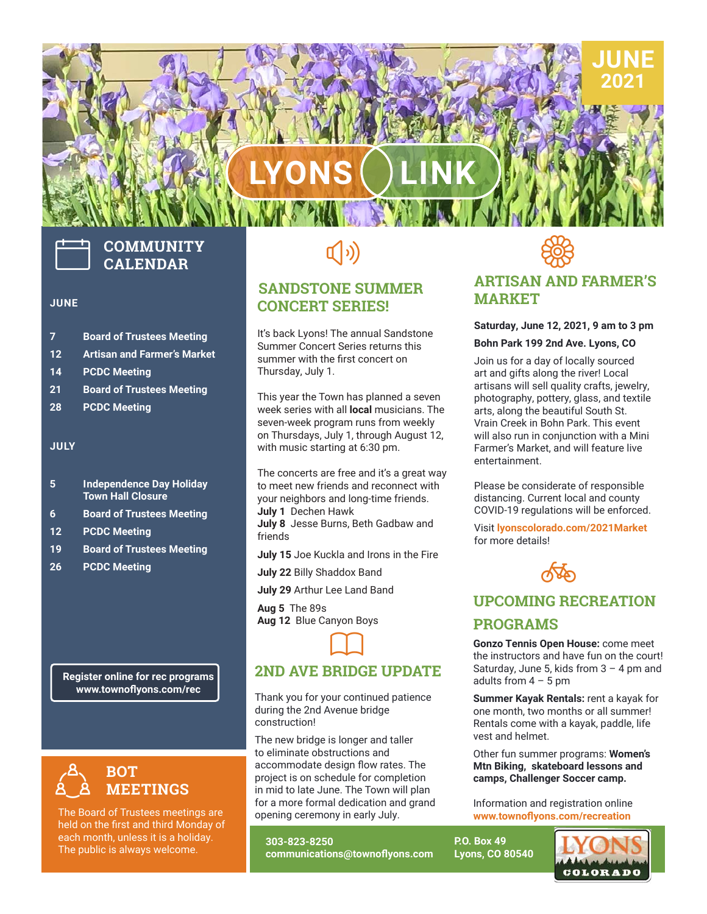# **LYONS LINK**



# **COMMUNITY CALENDAR**

#### **JUNE**

- **7 Board of Trustees Meeting**
- **12 Artisan and Farmer's Market**
- **14 PCDC Meeting**
- **21 Board of Trustees Meeting**
- **28 PCDC Meeting**

#### **JULY**

- **5 Independence Day Holiday Town Hall Closure**
- **6 Board of Trustees Meeting**
- **12 PCDC Meeting**
- **19 Board of Trustees Meeting**
- **26 PCDC Meeting**

**Register online for rec programs www.townoflyons.com/rec**



The Board of Trustees meetings are held on the first and third Monday of each month, unless it is a holiday. The public is always welcome.

# $\left(\hspace{-2pt}\left(\cdot\right)\right)$

#### **SANDSTONE SUMMER CONCERT SERIES!**

It's back Lyons! The annual Sandstone Summer Concert Series returns this summer with the first concert on Thursday, July 1.

This year the Town has planned a seven week series with all **local** musicians. The seven-week program runs from weekly on Thursdays, July 1, through August 12, with music starting at 6:30 pm.

The concerts are free and it's a great way to meet new friends and reconnect with your neighbors and long-time friends. **July 1** Dechen Hawk

**July 8** Jesse Burns, Beth Gadbaw and friends

- **July 15** Joe Kuckla and Irons in the Fire
- **July 22** Billy Shaddox Band
- **July 29** Arthur Lee Land Band

**Aug 5** The 89s **Aug 12** Blue Canyon Boys

### **2ND AVE BRIDGE UPDATE**  $\Box$

Thank you for your continued patience during the 2nd Avenue bridge construction!

construction!<br>The new bridge is longer and taller<br>to eliminate obstructions and to eliminate obstructions and accommodate design flow rates. The project is on schedule for completion in mid to late June. The Town will plan for a more formal dedication and grand opening ceremony in early July.

**303-823-8250 communications@townoflyons.com**



#### **ARTISAN AND FARMER'S MARKET**

**JUNE 2021**

#### **Saturday, June 12, 2021, 9 am to 3 pm Bohn Park 199 2nd Ave. Lyons, CO**

Join us for a day of locally sourced art and gifts along the river! Local artisans will sell quality crafts, jewelry, photography, pottery, glass, and textile arts, along the beautiful South St. Vrain Creek in Bohn Park. This event will also run in conjunction with a Mini Farmer's Market, and will feature live entertainment.

Please be considerate of responsible distancing. Current local and county COVID-19 regulations will be enforced.

Visit **[lyonscolorado.com/2021Market](http:// lyonscolorado.com/2021Market)** for more details!



#### **UPCOMING RECREATION**

#### **PROGRAMS**

**Gonzo Tennis Open House:** come meet the instructors and have fun on the court! Saturday, June 5, kids from  $3 - 4$  pm and adults from  $4 - 5$  pm

**Summer Kayak Rentals:** rent a kayak for one month, two months or all summer! Rentals come with a kayak, paddle, life vest and helmet.

Other fun summer programs: **Women's Mtn Biking, skateboard lessons and camps, Challenger Soccer camp.**

Information and registration online **www.townoflyons.com/recreation**

**P.O. Box 49 Lyons, CO 80540**